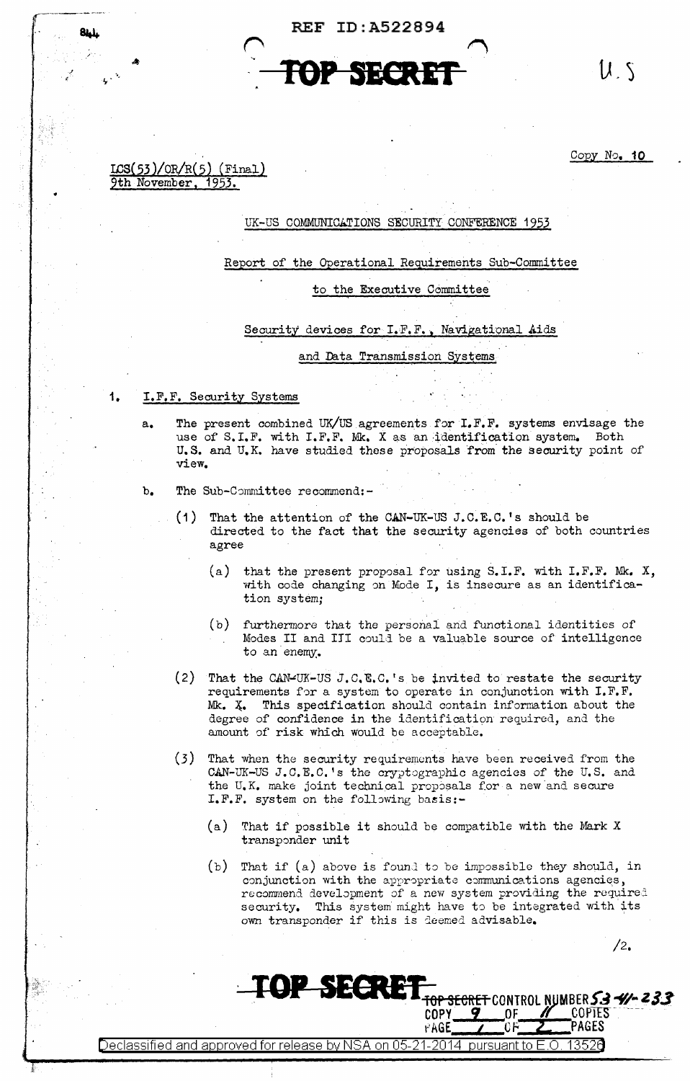**REF ID: A522894** 



 $U_{\alpha}S$ 

 $\texttt{ICS}(53)/\texttt{OR/R}(5)$  (Final) 1953. 9th November,

8L).

1.

 $Copy No. 10$ 

# UK-US COMMUNICATIONS SECURITY CONFERENCE 1953

Report of the Operational Requirements Sub-Committee

### to the Executive Committee

Security devices for I.F.F., Navigational Aids

### and Data Transmission Systems

- I.F.F. Security Systems
	- The present combined UK/US agreements for I.F.F. systems envisage the  $a_{\bullet}$ use of S.I.F. with I.F.F. Mk. X as an identification system. Both U.S. and U.K. have studied these proposals from the security point of view.
	- $\mathbf b$ . The Sub-Committee recommend:-
		- That the attention of the CAN-UK-US J.C.E.C.'s should be  $(1)$ directed to the fact that the security agencies of both countries agree
			- that the present proposal for using S.I.F. with I.F.F. Mk. X,  $(a)$ with code changing on Mode I, is insecure as an identification system;
			- furthermore that the personal and functional identities of  $(b)$ Modes II and III could be a valuable source of intelligence to an enemy.
		- $(2)$ That the CAN-UK-US J.C.E.C.'s be invited to restate the security requirements for a system to operate in conjunction with I.F.F. Mk. X. This specification should contain information about the degree of confidence in the identification required, and the amount of risk which would be acceptable.
		- (3) That when the security requirements have been received from the CAN-UK-US J.C.E.C.'s the cryptographic agencies of the U.S. and the U.K. make joint technical proposals for a new and secure I.F.F. system on the following basis:-
			- (a) That if possible it should be compatible with the Mark X transponder unit
			- (b) That if (a) above is found to be impossible they should, in conjunction with the appropriate communications agencies, recommend development of a new system providing the required security. This system might have to be integrated with its own transponder if this is deemed advisable.

**COPY** 

PAGE

 $/2.$ 

<del>top secret</del> control number 53 <del>-4</del>% 233

ΩF

**COPTES** 

PAGES

pursuant to E.O Declassified and approved for release by NSA on 05-21-2014 1352A

**TOP SECRET**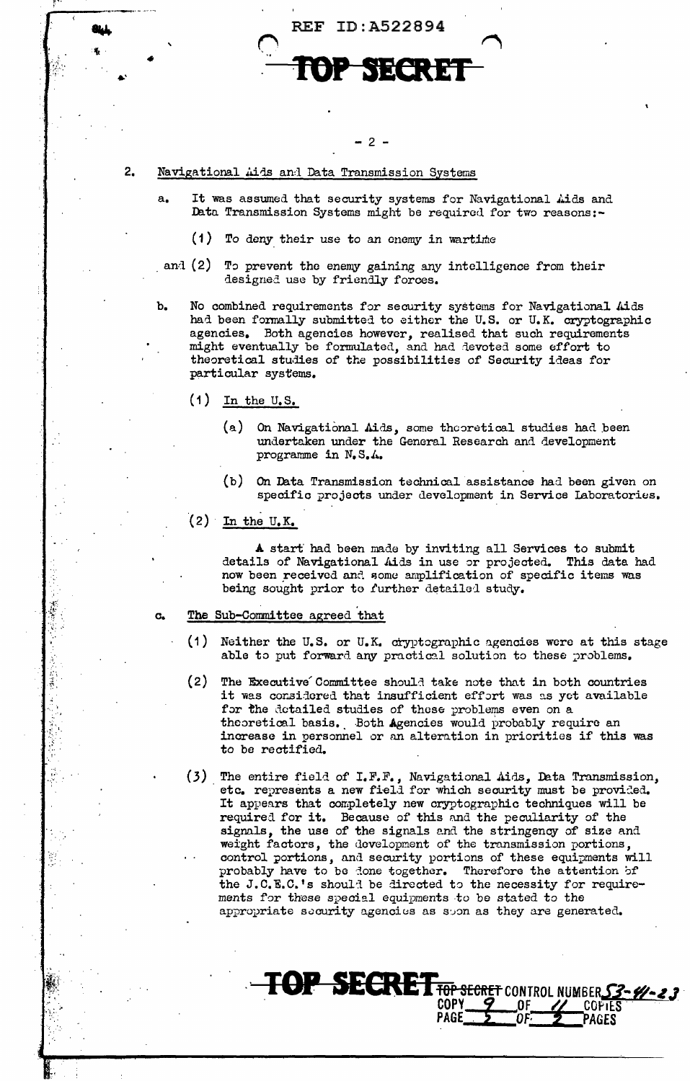

## $.2 -$

#### 2. Navigational Aids and Data Transmission Systems

- It was assumed that security systems for Navigational Aids and Data Transmission Systems might be required for two reasons:-
	- $(1)$  To deny their use to an enemy in wartime
- and  $(2)$ To prevent the enemy gaining any intelligence from their designed use by friendly forces.
- No combined requirements for security systems for Navigational Aids b. had been formally submitted to either the U.S. or U.K. cryptographic agencies. Both agencies however, realised that such requirements might eventually be formulated, and had devoted some effort to theoretical studies of the possibilities of Security ideas for particular systems.
	- $(1)$  In the U.S.

 $a<sub>z</sub>$ 

- $(a)$ On Navigational Aids, some theoretical studies had been undertaken under the General Research and development programme in N.S.A.
- $(b)$ On Data Transmission technical assistance had been given on specific projects under development in Service Laboratories.
- $(2)$  In the U.K.

A start had been made by inviting all Services to submit details of Navigational Aids in use or projected. This data had now been received and some amplification of specific items was being sought prior to further detailed study.

#### The Sub-Committee agreed that G.

- $(1)$ Neither the U.S. or U.K. cryptographic agencies were at this stage able to put forward any practical solution to these problems.
- $(2)$ The Executive Committee should take note that in both countries it was considered that insufficient effort was as yet available for the detailed studies of these problems even on a theoretical basis. Both Agencies would probably require an increase in personnel or an alteration in priorities if this was to be rectified.
- (3) The entire field of I.F.F., Navigational Aids, Data Transmission, etc. represents a new field for which security must be provided. It appears that completely new cryptographic techniques will be required for it. Because of this and the peculiarity of the signals, the use of the signals and the stringency of size and weight factors, the development of the transmission portions, control portions, and security portions of these equipments will probably have to be done together. Therefore the attention of the J.C.E.C.'s should be directed to the necessity for requirements for these special equipments to be stated to the appropriate security agencies as soon as they are generated.

TOP SECRET TOP SECRET CONTROL NUMBER S3-41-23

COPY **PAGE**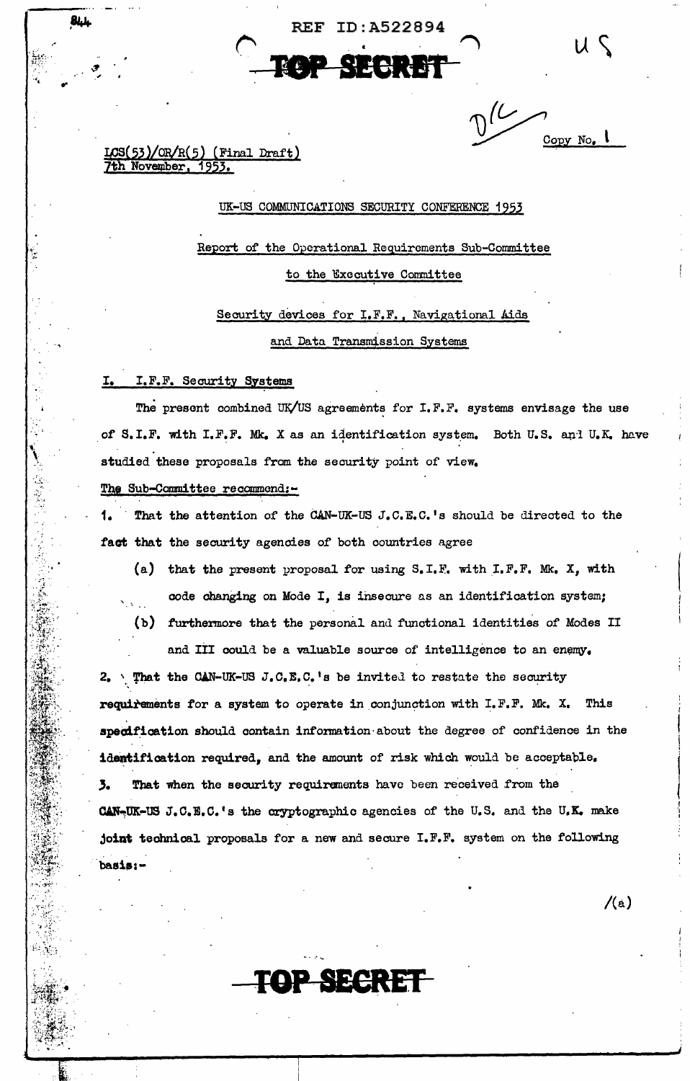**REF ID: A522894** 



 $/(\alpha)$ 

 $\sqrt{2}$  $Copy No.$ 

LCS(53)/OR/R(5) (Final Draft)<br>7th November, 1953.

بليلة

### UK-US COMMUNICATIONS SECURITY CONFERENCE 1953

Report of the Operational Requirements Sub-Committee to the Executive Committee

Security devices for I.F.F., Navigational Aids and Data Transmission Systems

### I. I.F.F. Security Systems

The present combined UK/US agreements for I.F.F. systems envisage the use of S.I.F. with I.F.F. Mk. X as an identification system. Both U.S. and U.K. have studied these proposals from the security point of view.

# The Sub-Committee recommend:-

That the attention of the CAN-UK-US J.C.E.C.'s should be directed to the fact that the security agencies of both countries agree

(a) that the present proposal for using  $S, I, F$ , with  $I, F, F$ . Mk. X, with code changing on Mode I, is insecure as an identification system;

(b) furthermore that the personal and functional identities of Modes II

and III could be a valuable source of intelligence to an enemy. 2. That the CAN-UK-US J.C.E.C.'s be invited to restate the security requirements for a system to operate in conjunction with I.F.F. Mk. X. This specification should contain information about the degree of confidence in the identification required, and the amount of risk which would be acceptable. 3. That when the security requirements have been received from the CAN-UK-US J.C.E.C.'s the cryptographic agencies of the U.S. and the U.K. make joint technical proposals for a new and secure I.F.F. system on the following  $basis: -$ 

**DP SECRET**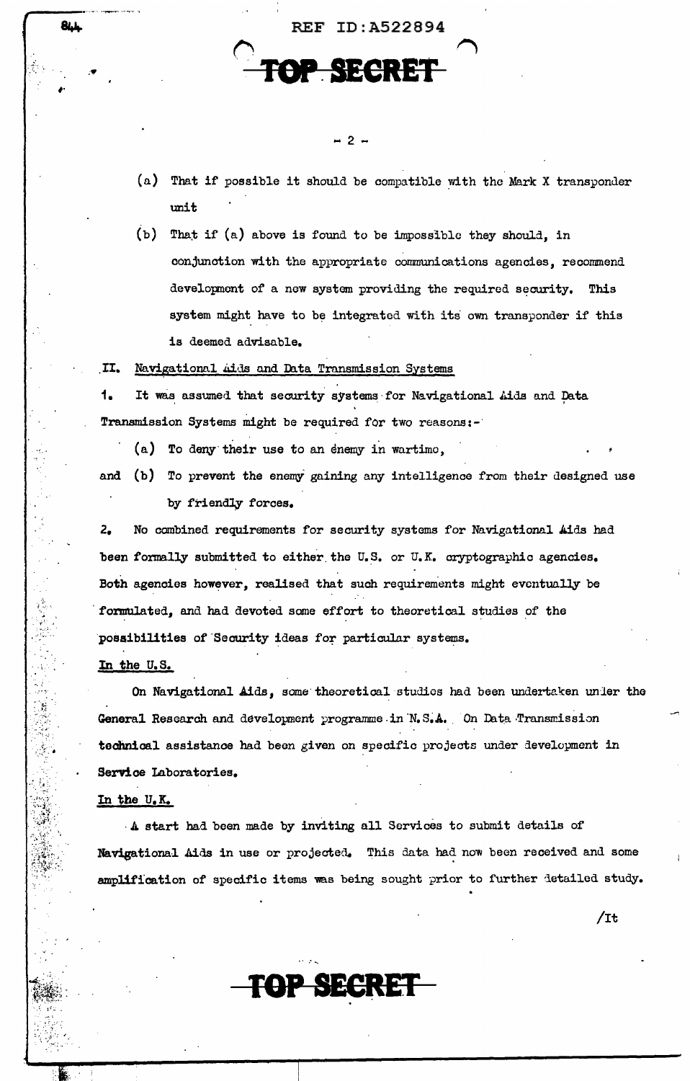(a) That if possible it should be compatible with the Mark X transponder unit

**REF ID:A522894** 

 $-2-$ 

**SECRET** 

(b) That if (a) above is found to be impossible they should, in conjunction with the appropriate communications agencies, recommend development of a new system providing the required security. This system might have to be integrated with its own transponder if this is deemed advisable.

II. Navigational Aids and Data Transmission Systems

1. It was assumed that security systems for Navigational Aids and Data Transmission Systems might be required for two reasons:-

- (a) To deny their use to an enemy in wartime.
- and (b) To prevent the enemy gaining any intelligence from their designed use by friendly forces.

No combined requirements for security systems for Navigational Aids had  $2.$ been formally submitted to either the U.S. or U.K. cryptographic agencies. Both agencies however, realised that such requirements might eventually be formulated, and had devoted some effort to theoretical studies of the possibilities of Security ideas for particular systems.

In the U.S.

**844** 

On Navigational Aids, some theoretical studies had been undertaken under the General Research and development programme in N.S.A. On Data Transmission technical assistance had been given on specific projects under development in Service Laboratories.

In the U.K.

A start had been made by inviting all Services to submit details of Navigational Aids in use or projected. This data had now been received and some amplification of specific items was being sought prior to further detailed study.

P SECRET

 $/$ It